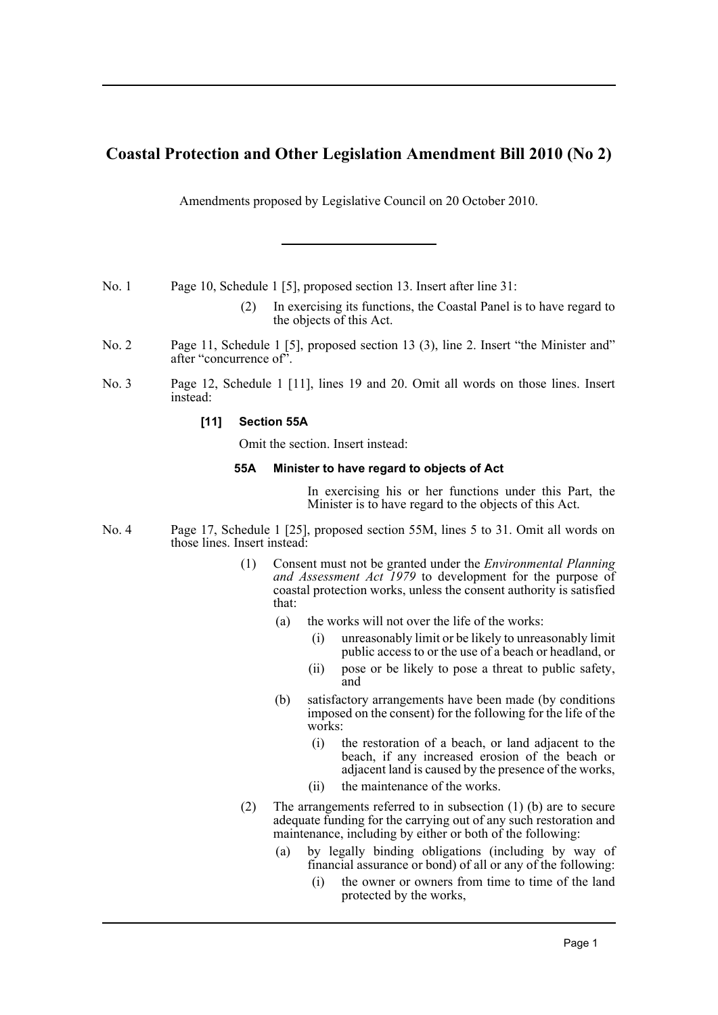# **Coastal Protection and Other Legislation Amendment Bill 2010 (No 2)**

Amendments proposed by Legislative Council on 20 October 2010.

No. 1 Page 10, Schedule 1 [5], proposed section 13. Insert after line 31:

- (2) In exercising its functions, the Coastal Panel is to have regard to the objects of this Act.
- No. 2 Page 11, Schedule 1 [5], proposed section 13 (3), line 2. Insert "the Minister and" after "concurrence of".
- No. 3 Page 12, Schedule 1 [11], lines 19 and 20. Omit all words on those lines. Insert instead:

### **[11] Section 55A**

Omit the section. Insert instead:

#### **55A Minister to have regard to objects of Act**

In exercising his or her functions under this Part, the Minister is to have regard to the objects of this Act.

- No. 4 Page 17, Schedule 1 [25], proposed section 55M, lines 5 to 31. Omit all words on those lines. Insert instead:
	- (1) Consent must not be granted under the *Environmental Planning and Assessment Act 1979* to development for the purpose of coastal protection works, unless the consent authority is satisfied that:
		- (a) the works will not over the life of the works:
			- (i) unreasonably limit or be likely to unreasonably limit public access to or the use of a beach or headland, or
			- (ii) pose or be likely to pose a threat to public safety, and
		- (b) satisfactory arrangements have been made (by conditions imposed on the consent) for the following for the life of the works:
			- (i) the restoration of a beach, or land adjacent to the beach, if any increased erosion of the beach or adjacent land is caused by the presence of the works,
			- (ii) the maintenance of the works.
	- (2) The arrangements referred to in subsection (1) (b) are to secure adequate funding for the carrying out of any such restoration and maintenance, including by either or both of the following:
		- (a) by legally binding obligations (including by way of financial assurance or bond) of all or any of the following:
			- (i) the owner or owners from time to time of the land protected by the works,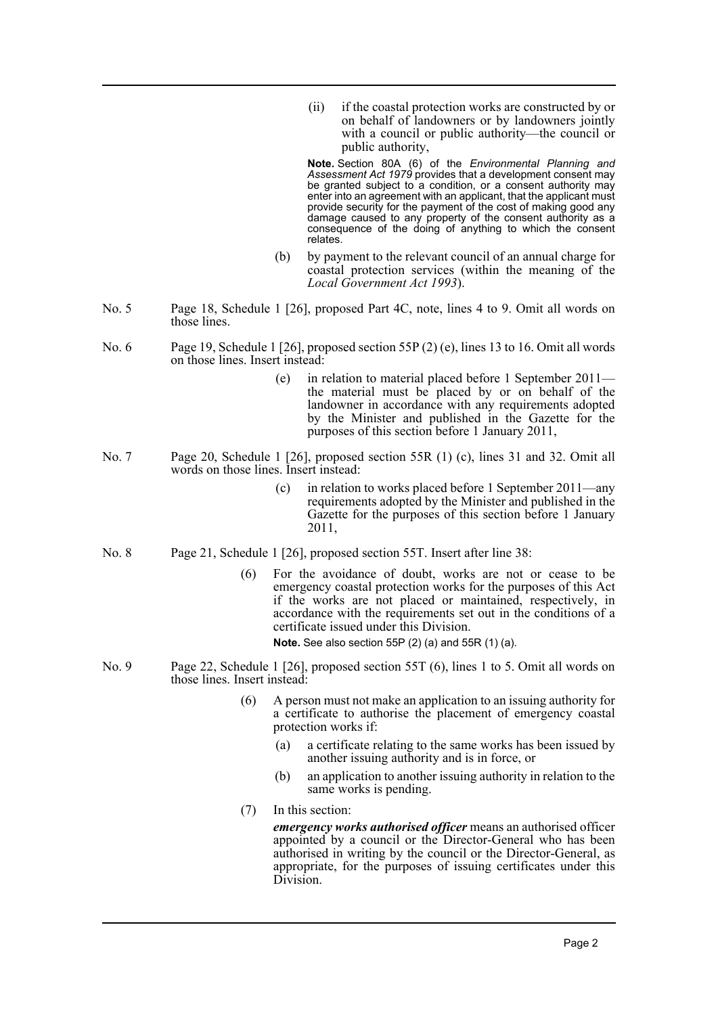(ii) if the coastal protection works are constructed by or on behalf of landowners or by landowners jointly with a council or public authority—the council or public authority,

**Note.** Section 80A (6) of the *Environmental Planning and Assessment Act 1979* provides that a development consent may be granted subject to a condition, or a consent authority may enter into an agreement with an applicant, that the applicant must provide security for the payment of the cost of making good any damage caused to any property of the consent authority as a consequence of the doing of anything to which the consent relates.

- (b) by payment to the relevant council of an annual charge for coastal protection services (within the meaning of the *Local Government Act 1993*).
- No. 5 Page 18, Schedule 1 [26], proposed Part 4C, note, lines 4 to 9. Omit all words on those lines.
- No. 6 Page 19, Schedule 1 [26], proposed section 55P (2) (e), lines 13 to 16. Omit all words on those lines. Insert instead:
	- (e) in relation to material placed before 1 September 2011 the material must be placed by or on behalf of the landowner in accordance with any requirements adopted by the Minister and published in the Gazette for the purposes of this section before 1 January 2011,
- No. 7 Page 20, Schedule 1 [26], proposed section 55R (1) (c), lines 31 and 32. Omit all words on those lines. Insert instead:
	- (c) in relation to works placed before 1 September 2011—any requirements adopted by the Minister and published in the Gazette for the purposes of this section before 1 January 2011,
- No. 8 Page 21, Schedule 1 [26], proposed section 55T. Insert after line 38:
	- (6) For the avoidance of doubt, works are not or cease to be emergency coastal protection works for the purposes of this Act if the works are not placed or maintained, respectively, in accordance with the requirements set out in the conditions of a certificate issued under this Division.

**Note.** See also section 55P (2) (a) and 55R (1) (a).

- No. 9 Page 22, Schedule 1 [26], proposed section 55T (6), lines 1 to 5. Omit all words on those lines. Insert instead:
	- (6) A person must not make an application to an issuing authority for a certificate to authorise the placement of emergency coastal protection works if:
		- (a) a certificate relating to the same works has been issued by another issuing authority and is in force, or
		- (b) an application to another issuing authority in relation to the same works is pending.
	- (7) In this section:

*emergency works authorised officer* means an authorised officer appointed by a council or the Director-General who has been authorised in writing by the council or the Director-General, as appropriate, for the purposes of issuing certificates under this Division.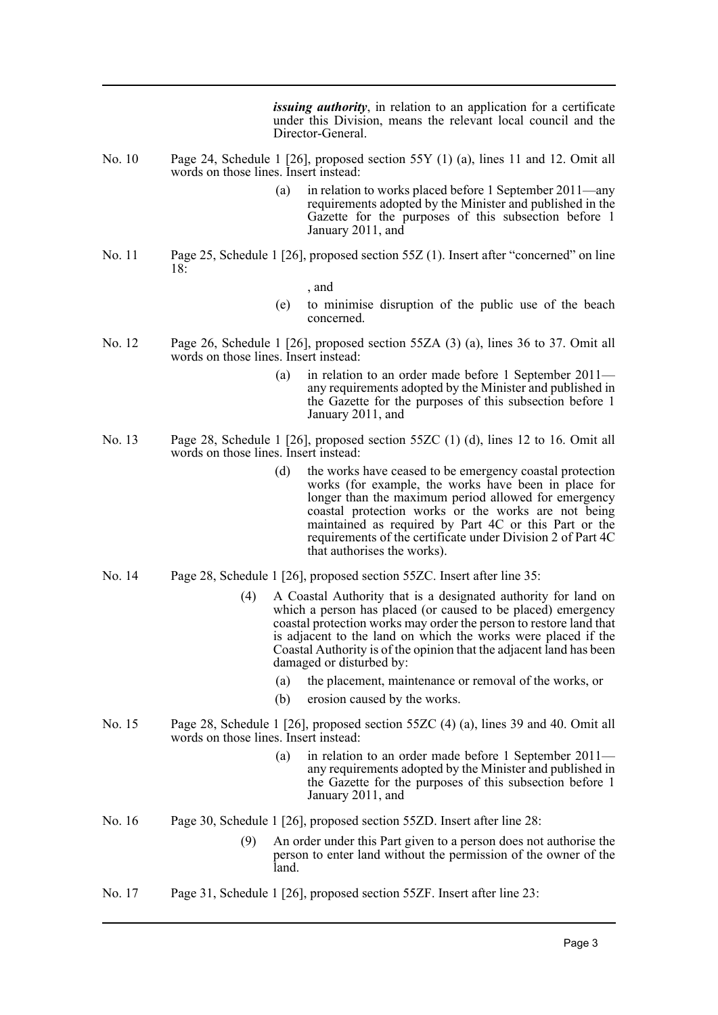*issuing authority*, in relation to an application for a certificate under this Division, means the relevant local council and the Director-General.

- No. 10 Page 24, Schedule 1 [26], proposed section 55Y (1) (a), lines 11 and 12. Omit all words on those lines. Insert instead:
	- (a) in relation to works placed before 1 September 2011—any requirements adopted by the Minister and published in the Gazette for the purposes of this subsection before 1 January 2011, and
- No. 11 Page 25, Schedule 1 [26], proposed section 55Z (1). Insert after "concerned" on line  $18<sup>0</sup>$

, and

- (e) to minimise disruption of the public use of the beach concerned.
- No. 12 Page 26, Schedule 1 [26], proposed section 55ZA (3) (a), lines 36 to 37. Omit all words on those lines. Insert instead:
	- (a) in relation to an order made before 1 September 2011 any requirements adopted by the Minister and published in the Gazette for the purposes of this subsection before 1 January 2011, and
- No. 13 Page 28, Schedule 1 [26], proposed section 55ZC (1) (d), lines 12 to 16. Omit all words on those lines. Insert instead:
	- (d) the works have ceased to be emergency coastal protection works (for example, the works have been in place for longer than the maximum period allowed for emergency coastal protection works or the works are not being maintained as required by Part 4C or this Part or the requirements of the certificate under Division 2 of Part 4C that authorises the works).
- No. 14 Page 28, Schedule 1 [26], proposed section 55ZC. Insert after line 35:
	- (4) A Coastal Authority that is a designated authority for land on which a person has placed (or caused to be placed) emergency coastal protection works may order the person to restore land that is adjacent to the land on which the works were placed if the Coastal Authority is of the opinion that the adjacent land has been damaged or disturbed by:
		- (a) the placement, maintenance or removal of the works, or
		- (b) erosion caused by the works.
- No. 15 Page 28, Schedule 1 [26], proposed section 55ZC (4) (a), lines 39 and 40. Omit all words on those lines. Insert instead:
	- (a) in relation to an order made before 1 September 2011 any requirements adopted by the Minister and published in the Gazette for the purposes of this subsection before 1 January 2011, and
- No. 16 Page 30, Schedule 1 [26], proposed section 55ZD. Insert after line 28:
	- (9) An order under this Part given to a person does not authorise the person to enter land without the permission of the owner of the land.
- No. 17 Page 31, Schedule 1 [26], proposed section 55ZF. Insert after line 23: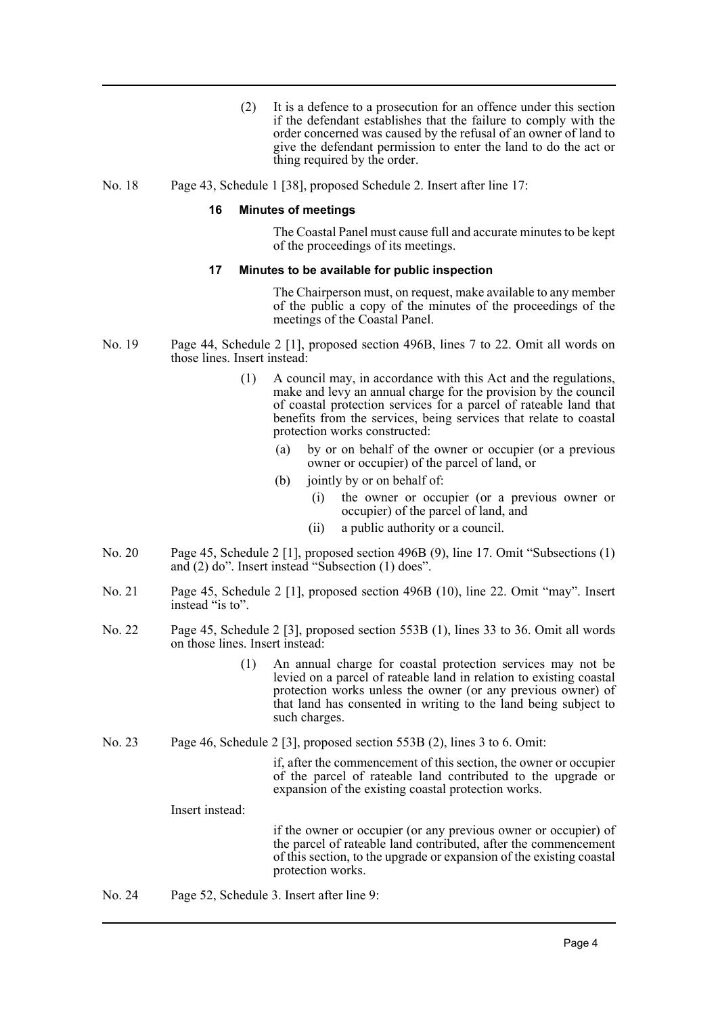- (2) It is a defence to a prosecution for an offence under this section if the defendant establishes that the failure to comply with the order concerned was caused by the refusal of an owner of land to give the defendant permission to enter the land to do the act or thing required by the order.
- No. 18 Page 43, Schedule 1 [38], proposed Schedule 2. Insert after line 17:

#### **16 Minutes of meetings**

The Coastal Panel must cause full and accurate minutes to be kept of the proceedings of its meetings.

#### **17 Minutes to be available for public inspection**

The Chairperson must, on request, make available to any member of the public a copy of the minutes of the proceedings of the meetings of the Coastal Panel.

- No. 19 Page 44, Schedule 2 [1], proposed section 496B, lines 7 to 22. Omit all words on those lines. Insert instead:
	- (1) A council may, in accordance with this Act and the regulations, make and levy an annual charge for the provision by the council of coastal protection services for a parcel of rateable land that benefits from the services, being services that relate to coastal protection works constructed:
		- (a) by or on behalf of the owner or occupier (or a previous owner or occupier) of the parcel of land, or
		- (b) jointly by or on behalf of:
			- (i) the owner or occupier (or a previous owner or occupier) of the parcel of land, and
			- (ii) a public authority or a council.
- No. 20 Page 45, Schedule 2 [1], proposed section 496B (9), line 17. Omit "Subsections (1) and (2) do". Insert instead "Subsection (1) does".
- No. 21 Page 45, Schedule 2 [1], proposed section 496B (10), line 22. Omit "may". Insert instead "is to".
- No. 22 Page 45, Schedule 2 [3], proposed section 553B (1), lines 33 to 36. Omit all words on those lines. Insert instead:
	- (1) An annual charge for coastal protection services may not be levied on a parcel of rateable land in relation to existing coastal protection works unless the owner (or any previous owner) of that land has consented in writing to the land being subject to such charges.
- No. 23 Page 46, Schedule 2 [3], proposed section 553B (2), lines 3 to 6. Omit:

if, after the commencement of this section, the owner or occupier of the parcel of rateable land contributed to the upgrade or expansion of the existing coastal protection works.

Insert instead:

if the owner or occupier (or any previous owner or occupier) of the parcel of rateable land contributed, after the commencement of this section, to the upgrade or expansion of the existing coastal protection works.

No. 24 Page 52, Schedule 3. Insert after line 9: